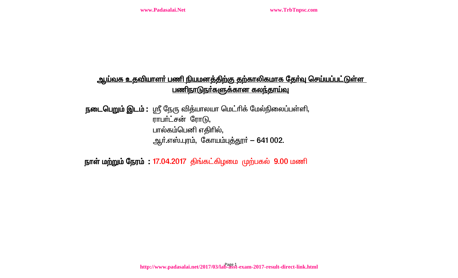## <u>ஆய்வக உதவியாளா் பணி நியமனத்திற்கு தற்காலிகமாக தோ்வு செய்யப்பட்டுள்ள</u> <u>பணிநாடுநா்களுக்கான கலந்தாய்வு</u>

**நடைபெறும் இடம் :** ஸ்ரீ நேரு வித்யாலயா மெட்ரிக் மேல்நிலைப்பள்ளி, ராபர்ட்சன் ரோடு, பால்கம்பெனி எதிரில், ஆர்.எஸ்.புரம், கோயம்புத்தூர் – 641 002.

நாள் மற்றும் நேரம்: 17.04.2017 திங்கட்கிழமை முற்பகல் 9.00 மணி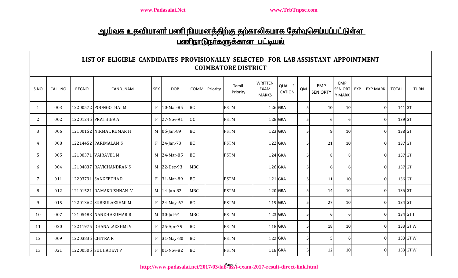# <u>ஆய்வக உதவியாளா் பணி நியமனத்திற்கு தற்காலிகமாக தோ்வுசெய்யப்பட்டுள்ள</u> <u>பணிநாடுநா்களுக்கான பட்டியல்</u>

### **LIST OF ELIGIBLE CANDIDATES PROVISIONALLY SELECTED FOR LAB ASSISTANT APPOINTMENT COIMBATORE DISTRICT**

| S.NO | <b>CALL NO</b> | REGNO             | CAND_NAM                | <b>SEX</b>   | <b>DOB</b>    |            | COMM Priority | Tamil<br>Priority | <b>WRITTEN</b><br>EXAM<br><b>MARKS</b> | QUALILFI<br><b>CATION</b> | QM             | <b>EMP</b><br><b>SENIORTY</b> | <b>EMP</b><br><b>SENIORT</b><br>Y MARK | EXP | <b>EXP MARK</b> | <b>TOTAL</b> | <b>TURN</b> |
|------|----------------|-------------------|-------------------------|--------------|---------------|------------|---------------|-------------------|----------------------------------------|---------------------------|----------------|-------------------------------|----------------------------------------|-----|-----------------|--------------|-------------|
| 1    | 003            |                   | 12200572 POONGOTHAI M   | $\mathbf{F}$ | 10-Mar-85     | <b>BC</b>  |               | <b>PSTM</b>       |                                        | 126 GRA                   | 5 <sub>l</sub> | 10                            | 10                                     |     |                 | 141 GT       |             |
| 2    | 002            |                   | 12201245 PRATHIBA A     | F            | 27-Nov-91     | <b>OC</b>  |               | <b>PSTM</b>       |                                        | 128 GRA                   | 5 <sub>l</sub> | 6                             | 6I                                     |     | 0               | 139 GT       |             |
| 3    | 006            |                   | 12100152 NIRMAL KUMAR H |              | M 05-Jan-89   | <b>BC</b>  |               | <b>PSTM</b>       |                                        | 123 GRA                   | 5              |                               | 10                                     |     |                 | 138 GT       |             |
| 4    | 008            |                   | 12214452 PARIMALAM S    |              | $F$ 24-Jan-73 | <b>BC</b>  |               | <b>PSTM</b>       |                                        | 122 GRA                   | 51             | 21                            | 10                                     |     |                 | 137 GT       |             |
| 5    | 005            |                   | 12100371 VAIRAVEL M     |              | M 24-Mar-85   | <b>BC</b>  |               | <b>PSTM</b>       |                                        | $124$ GRA                 | 5              |                               | 81                                     |     |                 | 137 GT       |             |
| 6    | 004            |                   | 12104837 RAVICHANDRAN S |              | M 22-Dec-93   | <b>MBC</b> |               |                   |                                        | 126 GRA                   | 5              |                               | 6I                                     |     | ŋ               | 137 GT       |             |
| 7    | 011            |                   | 12203731 SANGEETHAR     |              | F 31-Mar-89   | <b>BC</b>  |               | <b>PSTM</b>       |                                        | $121$ GRA                 | 5 <sub>l</sub> | 11                            | 10 <sup>1</sup>                        |     | O               | 136 GT       |             |
| 8    | 012            |                   | 12101521 RAMAKRISHNAN V |              | M 14-Jun-82   | <b>MBC</b> |               | <b>PSTM</b>       |                                        | 120 GRA                   | 5              | 14                            | 10                                     |     | U               | 135 GT       |             |
| 9    | 015            |                   | 12201362 SUBBULAKSHMI M | $\mathbf{F}$ | 24-May-67     | <b>BC</b>  |               | <b>PSTM</b>       |                                        | 119 GRA                   | 5 <sub>l</sub> | 27                            | 10 <sup>1</sup>                        |     | O               | 134 GT       |             |
| 10   | 007            |                   | 12105483 NANDHAKUMAR R  |              | M 30-Jul-91   | <b>MBC</b> |               | <b>PSTM</b>       |                                        | 123 GRA                   | 5 <sub>l</sub> | 6                             | 6I                                     |     | ŋ               |              | 134 GT T    |
| 11   | 020            |                   | 12211975 DHANALAKSHMI V |              | $F$ 25-Apr-79 | <b>BC</b>  |               | <b>PSTM</b>       |                                        | 118 GRA                   | 5 <sub>l</sub> | 18                            | 10                                     |     | ŋ               |              | 133 GT W    |
| 12   | 009            | 12203835 CHITRA R |                         | $\mathbf{F}$ | 31-May-80     | <b>BC</b>  |               | <b>PSTM</b>       |                                        | 122 GRA                   | 5 <sub>l</sub> |                               | 6I                                     |     |                 |              | 133 GT W    |
| 13   | 021            |                   | 12200505 SUDHADEVI P    | F            | 01-Nov-82     | <b>BC</b>  |               | <b>PSTM</b>       |                                        | 118 GRA                   | 5 <sub>l</sub> | 12                            | 10                                     |     |                 |              | 133 GT W    |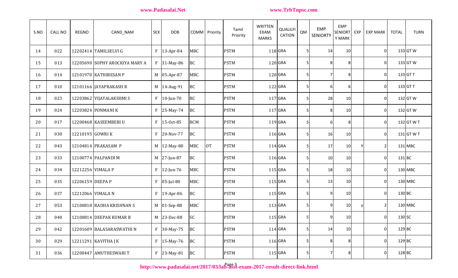| S.NO | <b>CALL NO</b> | <b>REGNO</b>      | CAND_NAM                       | <b>SEX</b> | <b>DOB</b>    |            | COMM Priority | Tamil<br>Priority | WRITTEN<br><b>EXAM</b><br><b>MARKS</b> | <b>QUALILFI</b><br><b>CATION</b> | QM | <b>EMP</b><br><b>SENIORTY</b> | <b>EMP</b><br>SENIORT<br>Y MARK | EXP | <b>EXP MARK</b> | <b>TOTAL</b> | <b>TURN</b>  |
|------|----------------|-------------------|--------------------------------|------------|---------------|------------|---------------|-------------------|----------------------------------------|----------------------------------|----|-------------------------------|---------------------------------|-----|-----------------|--------------|--------------|
| 14   | 022            |                   | 12202414 TAMILSELVI G          |            | $F$ 13-Apr-84 | <b>MBC</b> |               | <b>PSTM</b>       |                                        | $118$ GRA                        | 5  | 14                            | 10                              |     | $\overline{0}$  |              | 133 GT W     |
| 15   | 013            |                   | 12205690 SOPHY AROCKIYA MARY A |            | F 31-May-86   | BC         |               | <b>PSTM</b>       |                                        | $120$ GRA                        | 5  | 8                             | 8                               |     | $\overline{0}$  |              | 133 GT W     |
| 16   | 014            |                   | 12101970 KATHIRESAN P          |            | M 05-Apr-87   | <b>MBC</b> |               | <b>PSTM</b>       |                                        | 120 GRA                          | 5  |                               | 8                               |     | $\overline{0}$  |              | 133 GT T     |
| 17   | 010            |                   | 12101166 JAYAPRAKASH R         |            | M   14-Aug-91 | BC         |               | <b>PSTM</b>       |                                        | 122 GRA                          | 5  | 6                             | 61                              |     | $\overline{0}$  |              | 133 GT T     |
| 18   | 023            |                   | 12203862 VIJAYALAKSHMI S       |            | $F$ 10-Jun-70 | <b>BC</b>  |               | <b>PSTM</b>       |                                        | 117 GRA                          | 5  | 28                            | 10                              |     | $\overline{0}$  |              | 132 GT W     |
| 19   | 024            |                   | 12203824 PONMANIK              |            | F 25-May-74   | <b>BC</b>  |               | <b>PSTM</b>       |                                        | $117$ GRA                        | 5  | 8                             | 10                              |     | $\overline{0}$  |              | 132 GT W     |
| 20   | 017            |                   | 12200468 KASEEMBEBIU           | F          | 15-Oct-85     | <b>BCM</b> |               | <b>PSTM</b>       |                                        | 119 GRA                          | .5 | 6                             | 8                               |     | $\overline{0}$  |              | 132 GT W T   |
| 21   | 030            | 12210195 GOWRI K  |                                |            | F 20-Nov-77   | <b>BC</b>  |               | <b>PSTM</b>       |                                        | 116 GRA                          | 5  | <b>16</b>                     | 10                              |     | $\overline{0}$  |              | $131$ GT W T |
| 22   | 043            |                   | 12104814 PRAKASAM P            |            | M 12-May-80   | <b>MBC</b> | <b>OT</b>     | <b>PSTM</b>       |                                        | 114 GRA                          |    | 17                            | 10                              |     | 2               |              | 131 MBC      |
| 23   | 033            |                   | 12100774 PALPANDI M            |            | M 27-Jun-87   | BC         |               | <b>PSTM</b>       |                                        | 116 GRA                          | 5  | <b>10</b>                     | 10                              |     | $\overline{0}$  | 131 BC       |              |
| 24   | 034            | 12212256 VIMALA P |                                |            | $F$ 12-Jun-76 | <b>MBC</b> |               | <b>PSTM</b>       |                                        | 115 GRA                          | 5  | 18                            | 10                              |     | $\overline{0}$  |              | 130 MBC      |
| 25   | 035            | 12206159 DEEPA P  |                                |            | $F$ 05-Jul-80 | <b>MBC</b> |               | <b>PSTM</b>       |                                        | 115 GRA                          | .5 | 13                            | 10 <sup>1</sup>                 |     | $\overline{0}$  |              | 130 MBC      |
| 26   | 037            | 12212066 VIMALA N |                                |            | $F$ 19-Apr-86 | <b>BC</b>  |               | <b>PSTM</b>       |                                        | 115 GRA                          | 5  | 9                             | 10                              |     | $\overline{0}$  | 130 BC       |              |
| 27   | 053            |                   | 12100818 RADHA KRISHNAN S      |            | M 01-Sep-88   | <b>MBC</b> |               | <b>PSTM</b>       |                                        | $113$ GRA                        | 5  | 9                             | 10                              |     | $\overline{2}$  |              | 130 MBC      |
| 28   | 040            |                   | 12100814 DEEPAK KUMAR B        |            | M 23-Dec-88   | SC         |               | <b>PSTM</b>       |                                        | 115 GRA                          | 5  | 9                             | 10 <sup>1</sup>                 |     | $\overline{0}$  | 130 SC       |              |
| 29   | 042            |                   | 12201609 BALASARASWATHI N      |            | F 30-May-75   | <b>BC</b>  |               | <b>PSTM</b>       |                                        | $114$ GRA                        | 5  | 14                            | 10                              |     | 0               | $129$ BC     |              |
| 30   | 029            |                   | 12211291 KAVITHA J K           |            | $F$ 15-May-76 | <b>BC</b>  |               | <b>PSTM</b>       |                                        | 116 GRA                          | 5  | 8 <sup>1</sup>                | 8                               |     | $\overline{0}$  | 129 BC       |              |
| 31   | 036            |                   | 12200447 AMUTHESWARIT          |            | $F$ 23-May-81 | BC         |               | <b>PSTM</b>       |                                        | $115$ GRA                        | 5  | 7                             | 8 <sup>1</sup>                  |     | $\overline{0}$  | 128 BC       |              |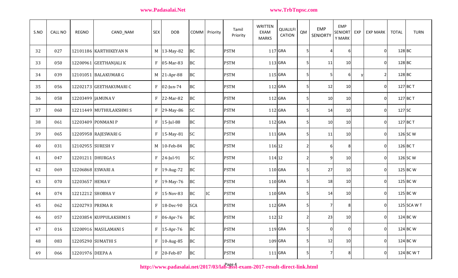| S.NO | <b>CALL NO</b> | <b>REGNO</b>      | CAND_NAM                | <b>SEX</b> | <b>DOB</b>      |            | COMM Priority | Tamil<br>Priority | <b>WRITTEN</b><br>EXAM<br><b>MARKS</b> | QUALILFI<br><b>CATION</b> | QM             | <b>EMP</b><br><b>SENIORTY</b> | <b>EMP</b><br>SENIORT<br>Y MARK | EXP | <b>EXP MARK</b> | <b>TOTAL</b> | <b>TURN</b> |
|------|----------------|-------------------|-------------------------|------------|-----------------|------------|---------------|-------------------|----------------------------------------|---------------------------|----------------|-------------------------------|---------------------------------|-----|-----------------|--------------|-------------|
| 32   | 027            |                   | 12101186 KARTHIKEYAN N  |            | M   13-May-82   | BC         |               | <b>PSTM</b>       |                                        | 117 GRA                   | 5              |                               |                                 |     | 01              | 128 BC       |             |
| 33   | 050            |                   | 12200961 GEETHANJALI K  |            | $F$ 05-Mar-83   | <b>BC</b>  |               | <b>PSTM</b>       |                                        | $113$ GRA                 | 5              | 11                            | 10                              |     | 0               | 128 BC       |             |
| 34   | 039            |                   | 12101051 BALAKUMAR G    |            | M 21-Apr-88     | <b>BC</b>  |               | <b>PSTM</b>       |                                        | 115 GRA                   | 5              |                               |                                 |     | 2               | 128 BC       |             |
| 35   | 056            |                   | 12202173 GEETHAKUMARI C |            | $F$   02-Jun-74 | <b>BC</b>  |               | <b>PSTM</b>       |                                        | $112$ GRA                 | 5              | 12                            | 10                              |     | 0               |              | 127 BC T    |
| 36   | 058            | 12203499 JAMUNA V |                         |            | $F$ 22-Mar-82   | <b>BC</b>  |               | <b>PSTM</b>       |                                        | 112 GRA                   | 5              | 10                            | 10                              |     | 0               |              | 127 BC T    |
| 37   | 060            |                   | 12211449 MUTHULAKSHMIS  |            | $F$ 29-May-86   | SC         |               | <b>PSTM</b>       |                                        | 112 GRA                   | 5              | 14                            | 10                              |     | 0               | 127 SC       |             |
| 38   | 061            |                   | 12203409 PONMANI P      |            | $F$ 15-Jul-88   | <b>BC</b>  |               | <b>PSTM</b>       |                                        | 112 GRA                   | 5 <sub>l</sub> | 10                            | 10                              |     | 0               |              | 127 BC T    |
| 39   | 065            |                   | 12205958 RAJESWARI G    |            | F   15-May-81   | SC         |               | <b>PSTM</b>       |                                        | 111 GRA                   | 5              | 11                            | 10                              |     | 0               |              | 126 SC W    |
| 40   | 031            | 12102955 SURESH V |                         |            | M 10-Feb-84     | BC         |               | <b>PSTM</b>       | 116 12                                 |                           | $\overline{2}$ | 61                            | 8                               |     | 0               |              | 126 BC T    |
| 41   | 047            | 12201211 DHURGA S |                         |            | $F$ 24-Jul-91   | SC         |               | <b>PSTM</b>       | 114 12                                 |                           | $\overline{2}$ | 9                             | 10                              |     | 0               |              | 126 SC W    |
| 42   | 069            | 12206868 ESWARI A |                         |            | F   19-Aug-72   | <b>BC</b>  |               | <b>PSTM</b>       |                                        | $110$ GRA                 | 5              | 27                            | 10                              |     | $\Omega$        |              | 125 BC W    |
| 43   | 070            | 12203657 HEMA V   |                         |            | F   19-May-76   | <b>BC</b>  |               | <b>PSTM</b>       |                                        | $110$ GRA                 | 5              | 18                            | 10                              |     | 0               |              | 125 BC W    |
| 44   | 074            | 12212212 SHOBHA V |                         |            | $F$ 15-Nov-83   | <b>BC</b>  | IC            | <b>PSTM</b>       |                                        | $110$ GRA                 | 5              | 14                            | 10                              |     | $\overline{0}$  |              | 125 BC W    |
| 45   | 062            | 12202793 PREMAR   |                         | F          | 18-Dec-90       | <b>SCA</b> |               | <b>PSTM</b>       |                                        | 112 GRA                   | 5              |                               |                                 |     | 0               |              | 125 SCA W T |
| 46   | 057            |                   | 12203854 KUPPULAKSHMIS  |            | $F$ 06-Apr-76   | BC         |               | <b>PSTM</b>       | 112 12                                 |                           | $\overline{2}$ | 23                            | 10                              |     | 0               |              | 124 BC W    |
| 47   | 016            |                   | 12200916 MASILAMANI S   |            | $F$ 15-Apr-76   | <b>BC</b>  |               | <b>PSTM</b>       |                                        | 119 GRA                   | 5              | $\overline{0}$                | $\overline{0}$                  |     | 0               |              | 124 BC W    |
| 48   | 083            |                   | 12205290 SUMATHI S      |            | $F$ 10-Aug-85   | BC         |               | <b>PSTM</b>       |                                        | $109$ GRA                 | 5 <sub>l</sub> | 12                            | 10                              |     | 01              |              | 124 BC W    |
| 49   | 066            | 12201976 DEEPA A  |                         |            | F 20-Feb-87     | <b>BC</b>  |               | <b>PSTM</b>       |                                        | 111 GRA                   | 5 <sup>1</sup> | 7                             | 81                              |     | $\overline{0}$  |              | 124 BC W T  |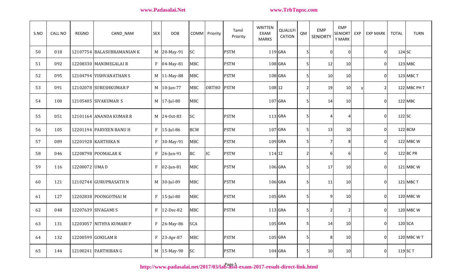| S.NO | <b>CALL NO</b> | <b>REGNO</b>  | CAND_NAM                   | <b>SEX</b>   | <b>DOB</b>    |            | COMM Priority | Tamil<br>Priority | <b>WRITTEN</b><br>EXAM<br><b>MARKS</b> | <b>QUALILFI</b><br><b>CATION</b> | QM             | <b>EMP</b><br><b>SENIORTY</b> | <b>EMP</b><br><b>SENIORT</b><br>Y MARK | EXP | <b>EXP MARK</b> | <b>TOTAL</b> | <b>TURN</b>  |
|------|----------------|---------------|----------------------------|--------------|---------------|------------|---------------|-------------------|----------------------------------------|----------------------------------|----------------|-------------------------------|----------------------------------------|-----|-----------------|--------------|--------------|
| 50   | 018            |               | 12107754 BALASUBRAMANIAN K |              | M 20-May-91   | <b>SC</b>  |               | <b>PSTM</b>       | 119 GRA                                |                                  | 5 <sup>1</sup> | $\Omega$                      | $\overline{0}$                         |     | ΟI              | 124 SC       |              |
| 51   | 092            |               | 12208330 MANIMEGALAIR      | F            | 04-May-81     | <b>MBC</b> |               | <b>PSTM</b>       | $108$ GRA                              |                                  | 5 <sub>l</sub> | 12                            | 10 <sup>1</sup>                        |     | ΟI              |              | 123 MBC      |
| 52   | 095            |               | 12104794 VISHVANATHAN S    |              | M 11-May-88   | <b>MBC</b> |               | <b>PSTM</b>       | 108 GRA                                |                                  | 5 <sub>l</sub> | 10                            | <b>10</b>                              |     | 01              |              | 123 MBC T    |
| 53   | 091            |               | 12102078 SURESHKUMAR P     |              | M 10-Jan-77   | <b>MBC</b> | ORTHO PSTM    |                   | 108 12                                 |                                  | $\overline{2}$ | 19                            | 10                                     | v   | $2\vert$        |              | 122 MBC PH T |
| 54   | 100            |               | 12105405 SIVAKUMAR S       |              | M 17-Jul-80   | <b>MBC</b> |               |                   | 107 GRA                                |                                  | 5 <sub>l</sub> | 14                            | <b>10</b>                              |     | 01              |              | $122$ MBC    |
| 55   | 051            |               | 12101164 ANANDA KUMAR R    |              | M 24-Oct-83   | <b>SC</b>  |               | <b>PSTM</b>       |                                        | 113 GRA                          | 5 <sub>l</sub> | 4                             | $\boldsymbol{\Lambda}$                 |     | ΟI              | $122$ SC     |              |
| 56   | 105            |               | 12201194 PARVEEN BANU H    | $\rm F$      | $15$ -Jul-86  | <b>BCM</b> |               | <b>PSTM</b>       | 107 GRA                                |                                  | 5 <sub>l</sub> | 13                            | 10 <sup>1</sup>                        |     | ΟI              |              | 122 BCM      |
| 57   | 089            |               | 12201928 KARTHIKA N        | $\mathbf{F}$ | 30-May-91     | <b>MBC</b> |               | <b>PSTM</b>       | 109 GRA                                |                                  | 5 <sub>l</sub> | 7                             | 81                                     |     | ΟI              |              | 122 MBC W    |
| 58   | 046            |               | 12208798 POOMALAR K        |              | $F$ 26-Jun-91 | <b>BC</b>  | IC            | <b>PSTM</b>       | 114 12                                 |                                  | $\mathbf{2}$   | 61                            | 6I                                     |     | 01              |              | $122$ BC PR  |
| 59   | 116            | 12200072 UMAD |                            | $\mathbf{F}$ | 02-Jun-81     | <b>MBC</b> |               | <b>PSTM</b>       |                                        | 106 GRA                          | 5 <sub>l</sub> | 17                            | 10 <sup>1</sup>                        |     | 01              |              | 121 MBC W    |
| 60   | 121            |               | 12102744 GURUPRASATH N     |              | M 30-Jul-89   | <b>MBC</b> |               | <b>PSTM</b>       |                                        | 106 GRA                          | 5 <sub>l</sub> | 11                            | 10 <sup>1</sup>                        |     | 01              |              | 121 MBC T    |
| 61   | 127            |               | 12202838 POONGOTHAI M      | $\mathbf{F}$ | 15-Jul-80     | <b>MBC</b> |               | <b>PSTM</b>       | 105 GRA                                |                                  | 5 <sub>l</sub> | 9                             | 10                                     |     | 01              |              | 120 MBC W    |
| 62   | 048            |               | 12207639 SIVAGAMI S        | $\mathbf{F}$ | 12-Dec-82     | <b>MBC</b> |               | <b>PSTM</b>       | 113 GRA                                |                                  | 5 <sub>l</sub> | 2                             | $\overline{2}$                         |     | 01              |              | 120 MBC W    |
| 63   | 131            |               | 12203057 NITHYA KUMARI P   | $\mathbf{F}$ | 26-May-86     | <b>SCA</b> |               |                   | 105 GRA                                |                                  | 5 <sup>1</sup> | 14                            | 10                                     |     | οI              | 120 SCA      |              |
| 64   | 132            |               | 12200599 GOKILAM R         | $\mathbf{F}$ | 23-Apr-87     | <b>MBC</b> |               | <b>PSTM</b>       | 105 GRA                                |                                  | 5 <sub>l</sub> | 8                             | 10 <sup>1</sup>                        |     | 01              |              | 120 MBC W T  |
| 65   | 144            |               | 12100241 PARTHIBAN G       |              | M 15-May-90   | <b>SC</b>  |               | <b>PSTM</b>       |                                        | $104$ GRA                        | 5 <sub>l</sub> | 10                            | 10 <sup>1</sup>                        |     | ΟI              | 119 SC T     |              |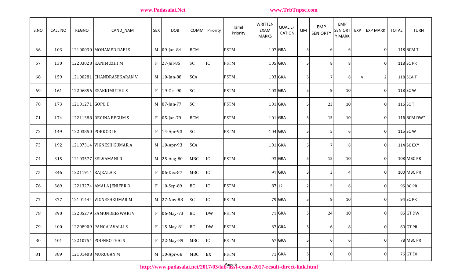| S.NO | <b>CALL NO</b> | <b>REGNO</b>    | CAND_NAM                  | <b>SEX</b>   | <b>DOB</b>    |            | COMM Priority   | Tamil<br>Priority | WRITTEN<br><b>EXAM</b><br><b>MARKS</b> | QUALILFI<br><b>CATION</b> | QM             | <b>EMP</b><br><b>SENIORTY</b> | <b>EMP</b><br><b>SENIORT</b><br>Y MARK | EXP | <b>EXP MARK</b> | <b>TOTAL</b> | <b>TURN</b>     |
|------|----------------|-----------------|---------------------------|--------------|---------------|------------|-----------------|-------------------|----------------------------------------|---------------------------|----------------|-------------------------------|----------------------------------------|-----|-----------------|--------------|-----------------|
| 66   | 103            |                 | 12100030 MOHAMED RAFIS    |              | M 09-Jan-84   | <b>BCM</b> |                 | <b>PSTM</b>       |                                        | $107$ GRA                 | 5 <sub>l</sub> | 61                            | 6                                      |     | 0               |              | 118 BCM T       |
| 67   | 130            |                 | 12203028 KANIMOZHI M      |              | F 27-Jul-85   | <b>SC</b>  | IC              | <b>PSTM</b>       |                                        | $105$ GRA                 | 5 <sub>l</sub> | 8                             | 8                                      |     | 0               |              | 118 SC PR       |
| 68   | 159            |                 | 12100281 CHANDRASEKARAN V |              | M 10-Jun-88   | <b>SCA</b> |                 | <b>PSTM</b>       |                                        | 103 GRA                   | 5 <sub>l</sub> | 7                             | 8 <sup>1</sup>                         |     | 2               |              | 118 SCA T       |
| 69   | 161            |                 | 12206856 ESAKKIMUTHUS     | $\mathbf{F}$ | 19-0ct-90     | <b>SC</b>  |                 | <b>PSTM</b>       |                                        | 103 GRA                   | 5 <sub>l</sub> | 9                             | 10                                     |     | 0               |              | 118 SC W        |
| 70   | 173            | 12101271 GOPU D |                           |              | M 07-Jun-77   | <b>SC</b>  |                 | <b>PSTM</b>       |                                        | $101$ GRA                 | 5 <sub>l</sub> | 23                            | 10                                     |     | 0               |              | 116 SC T        |
| 71   | 174            |                 | 12211388 REGINA BEGUM S   |              | $F$ 05-Jan-79 | <b>BCM</b> |                 | <b>PSTM</b>       |                                        | $101$ GRA                 | 5 <sub>l</sub> | 15                            | 10                                     |     | 0               |              | 116 BCM DW*     |
| 72   | 149            |                 | 12203850 PORKODI K        | $\mathbf{F}$ | 14-Apr-93     | <b>SC</b>  |                 | <b>PSTM</b>       |                                        | $104$ GRA                 | 5 <sub>l</sub> | 5                             | 61                                     |     | 0               |              | 115 SC W T      |
| 73   | 192            |                 | 12107314 VIGNESH KUMAR A  |              | M 10-Apr-93   | <b>SCA</b> |                 |                   |                                        | $101$ GRA                 | 5 <sub>l</sub> | 7                             | $8 \,$                                 |     | 0               |              | 114 SC EX*      |
| 74   | 315            |                 | 12103577 SELVAMANI R      |              | M 25-Aug-80   | <b>MBC</b> | $\overline{IC}$ | <b>PSTM</b>       |                                        | 93 GRA                    | 5 <sub>l</sub> | 15                            | 10                                     |     | 0               |              | 108 MBC PR      |
| 75   | 346            |                 | 12211914 RAJKALA K        | F            | 06-Dec-87     | <b>MBC</b> | IC              |                   |                                        | 91 GRA                    | 5 <sub>l</sub> | 3                             | Δ                                      |     | 0               |              | 100 MBC PR      |
| 76   | 369            |                 | 12213274 AMALA JENIFER D  | $\mathbf{F}$ | 10-Sep-89     | <b>BC</b>  | IC              | <b>PSTM</b>       |                                        | 87 12                     | $\mathbf{2}$   | 5                             | 61                                     |     | 0               |              | <b>95 BC PR</b> |
| 77   | 377            |                 | 12101444 VIGNESHKUMAR M   |              | M 27-Nov-88   | <b>SC</b>  | IC              | <b>PSTM</b>       |                                        | 79 GRA                    | 5 <sub>l</sub> | 9                             | 10                                     |     | 0               |              | 94 SC PR        |
| 78   | 390            |                 | 12205279 SAMUNDEESWARI V  | F            | 06-May-73     | <b>BC</b>  | <b>DW</b>       | <b>PSTM</b>       |                                        | 71 GRA                    | 5 <sub>l</sub> | 24                            | 10                                     |     | 0               |              | 86 GT DW        |
| 79   | 400            |                 | 12208909 PANGAJAVALLIS    | $\rm F$      | 15-May-81     | BC         | <b>DW</b>       | <b>PSTM</b>       |                                        | 67 GRA                    | $\mathbf{5}$   | 6                             | 8 <sup>1</sup>                         |     | $\overline{0}$  |              | 80 GT PR        |
| 80   | 401            |                 | 12210754 POONKOTHAIS      | $\rm F$      | 22-May-89     | <b>MBC</b> | IC              | <b>PSTM</b>       |                                        | 67 GRA                    | $\mathbf{5}$   | 6                             | 6                                      |     | 0               |              | 78 MBC PR       |
| 81   | 389            |                 | 12101408 MURUGAN M        |              | M 10-Apr-68   | <b>MBC</b> | EX              | <b>PSTM</b>       |                                        | 71 GRA                    | $\mathbf{5}$   | $\overline{0}$                | $\overline{0}$                         |     | 01              |              | <b>76 GT EX</b> |

http://www.padasalai.net/2017/03/lab<sup>2</sup>g§st-exam-2017-result-direct-link.html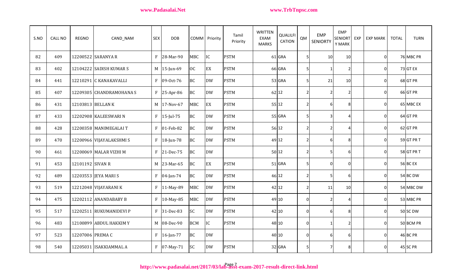| S.NO | CALL NO | <b>REGNO</b>      | CAND_NAM                 | <b>SEX</b>   | <b>DOB</b>   |            | <b>COMM</b> Priority | Tamil<br>Priority | <b>WRITTEN</b><br><b>EXAM</b><br><b>MARKS</b> | QUALILFI<br><b>CATION</b> | QM             | <b>EMP</b><br><b>SENIORTY</b> | <b>EMP</b><br><b>SENIORT</b><br>Y MARK | EXP | <b>EXP MARK</b> | <b>TOTAL</b> | <b>TURN</b>     |
|------|---------|-------------------|--------------------------|--------------|--------------|------------|----------------------|-------------------|-----------------------------------------------|---------------------------|----------------|-------------------------------|----------------------------------------|-----|-----------------|--------------|-----------------|
| 82   | 409     |                   | 12200522 SARANYA R       | $\mathbf{F}$ | 28-Mar-90    | <b>MBC</b> | IC                   | <b>PSTM</b>       |                                               | 61 GRA                    | 5 <sub>l</sub> | 10                            | 10                                     |     | $\Omega$        |              | 76 MBC PR       |
| 83   | 402     |                   | 12104222 SADISH KUMAR S  | M            | 15-Jun-69    | <b>OC</b>  | EX                   | <b>PSTM</b>       |                                               | 66 GRA                    | 5              |                               | $\overline{2}$                         |     | $\overline{0}$  |              | 73 GT EX        |
| 84   | 441     |                   | 12210291 C KANAKAVALLI   | $\mathbf{F}$ | 09-Oct-76    | <b>BC</b>  | <b>DW</b>            | <b>PSTM</b>       |                                               | 53 GRA                    | 5              | 21                            | 10 <sup>1</sup>                        |     | 0               |              | 68 GT PR        |
| 85   | 407     |                   | 12209305 CHANDRAMOHANA S | $\mathbf{F}$ | 25-Apr-86    | <b>BC</b>  | <b>DW</b>            | <b>PSTM</b>       | 62 12                                         |                           | $\overline{2}$ | 2                             | 2I                                     |     | 0               |              | 66 GT PR        |
| 86   | 431     | 12103813 BELLAN K |                          | M            | 17-Nov-67    | <b>MBC</b> | EX                   | <b>PSTM</b>       | 55 12                                         |                           | $\overline{2}$ | 6                             | 81                                     |     | 0               |              | 65 MBC EX       |
| 87   | 433     |                   | 12202908 KALEESWARI N    | $\mathbf{F}$ | $15$ -Jul-75 | <b>BC</b>  | <b>DW</b>            | <b>PSTM</b>       |                                               | 55 GRA                    | 5              |                               | $\overline{4}$                         |     | Οl              |              | 64 GT PR        |
| 88   | 428     |                   | 12200358 MANIMEGALAI T   | $\mathbf{F}$ | 01-Feb-82    | <b>BC</b>  | <b>DW</b>            | <b>PSTM</b>       | 56 12                                         |                           | $\overline{2}$ | 2                             | $\overline{4}$                         |     | 01              |              | 62 GT PR        |
| 89   | 470     |                   | 12200966 VIJAYALAKSHMI S | $\mathbf{F}$ | 18-Jun-78    | <b>BC</b>  | <b>DW</b>            | <b>PSTM</b>       | 49 12                                         |                           | $\overline{2}$ | 61                            | 81                                     |     | 01              |              | 59 GT PR T      |
| 90   | 461     |                   | 12200069 MALAR VIZHI M   | $\mathbf{F}$ | 21-Dec-75    | <b>BC</b>  | <b>DW</b>            |                   | $50$ 12                                       |                           | $\overline{2}$ | 5                             | 61                                     |     | 0               |              | 58 GT PR T      |
| 91   | 453     | 12101192 SIVAN R  |                          | M            | 23-Mar-65    | <b>BC</b>  | EX                   | <b>PSTM</b>       |                                               | $51$ GRA                  | 5 <sub>l</sub> | O                             | $\overline{0}$                         |     | ΟI              |              | <b>56 BC EX</b> |
| 92   | 489     |                   | 12203553 JEYA MARI S     | $\mathbf{F}$ | 04-Jan-74    | <b>BC</b>  | <b>DW</b>            | <b>PSTM</b>       | 46 12                                         |                           | $\overline{2}$ |                               | 61                                     |     | $\Omega$        |              | 54 BC DW        |
| 93   | 519     |                   | 12212048 VIJAYARANI K    | $\mathbf{F}$ | 11-May-89    | <b>MBC</b> | <b>DW</b>            | <b>PSTM</b>       | 42 12                                         |                           | $\overline{2}$ | 11                            | 10 <sup>1</sup>                        |     | $\Omega$        |              | 54 MBC DW       |
| 94   | 475     |                   | 12202112 ANANDABABY B    | $\mathbf{F}$ | 10-May-85    | <b>MBC</b> | <b>DW</b>            | <b>PSTM</b>       | 49 10                                         |                           | $\overline{0}$ | 2                             | $\Delta$                               |     | 0               |              | 53 MBC PR       |
| 95   | 517     |                   | 12202511 RUKUMANIDEVI P  | $\mathbf{F}$ | 31-Dec-83    | <b>SC</b>  | <b>DW</b>            | <b>PSTM</b>       | 42 10                                         |                           | $\overline{0}$ | 6                             | 8I                                     |     | 0               |              | 50 SC DW        |
| 96   | 483     |                   | 12100899 ABDUL HAKKIM Y  | M            | 08-Dec-90    | <b>BCM</b> | IC                   | <b>PSTM</b>       | 48 10                                         |                           | $\overline{0}$ |                               | $\overline{2}$                         |     | Οl              |              | 50 BCM PR       |
| 97   | 523     | 12207006 PREMA C  |                          | $\mathbf{F}$ | $16$ -Jan-77 | <b>BC</b>  | <b>DW</b>            |                   | 40 10                                         |                           | $\overline{0}$ | 61                            | 61                                     |     | 0               |              | <b>46 BC PR</b> |
| 98   | 540     |                   | 12205031 ISAKKIAMMAL A   | $\mathbf{F}$ | 07-May-71    | <b>SC</b>  | <b>DW</b>            | <b>PSTM</b>       |                                               | 32 GRA                    | 5 <sup>1</sup> | $\overline{7}$                | 81                                     |     | Οl              |              | 45 SC PR        |